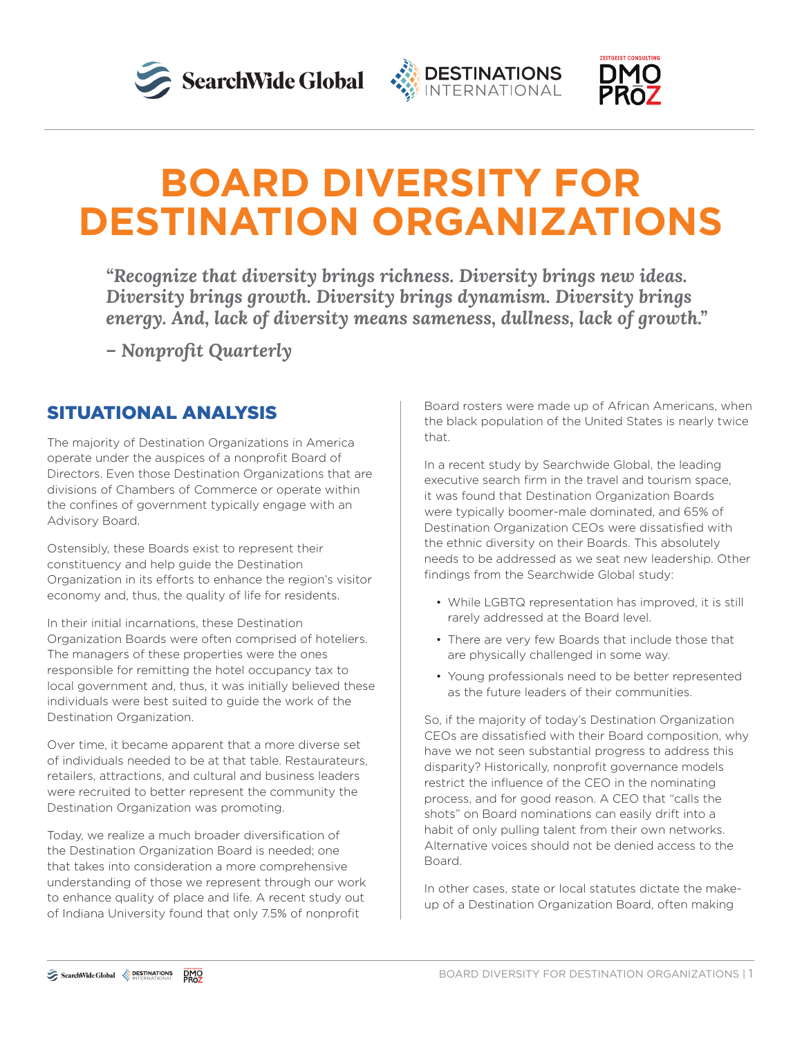





# **BOARD DIVERSITY FOR DESTINATION ORGANIZATIONS**

*"Recognize that diversity brings richness. Diversity brings new ideas. Diversity brings growth. Diversity brings dynamism. Diversity brings energy. And, lack of diversity means sameness, dullness, lack of growth."*

*– Nonprofit Quarterly*

## SITUATIONAL ANALYSIS

The majority of Destination Organizations in America operate under the auspices of a nonprofit Board of Directors. Even those Destination Organizations that are divisions of Chambers of Commerce or operate within the confines of government typically engage with an Advisory Board.

Ostensibly, these Boards exist to represent their constituency and help guide the Destination Organization in its efforts to enhance the region's visitor economy and, thus, the quality of life for residents.

In their initial incarnations, these Destination Organization Boards were often comprised of hoteliers. The managers of these properties were the ones responsible for remitting the hotel occupancy tax to local government and, thus, it was initially believed these individuals were best suited to guide the work of the Destination Organization.

Over time, it became apparent that a more diverse set of individuals needed to be at that table. Restaurateurs, retailers, attractions, and cultural and business leaders were recruited to better represent the community the Destination Organization was promoting.

Today, we realize a much broader diversification of the Destination Organization Board is needed; one that takes into consideration a more comprehensive understanding of those we represent through our work to enhance quality of place and life. A recent study out of Indiana University found that only 7.5% of nonprofit

Board rosters were made up of African Americans, when the black population of the United States is nearly twice that.

In a recent study by Searchwide Global, the leading executive search firm in the travel and tourism space, it was found that Destination Organization Boards were typically boomer-male dominated, and 65% of Destination Organization CEOs were dissatisfied with the ethnic diversity on their Boards. This absolutely needs to be addressed as we seat new leadership. Other findings from the Searchwide Global study:

- While LGBTQ representation has improved, it is still rarely addressed at the Board level.
- There are very few Boards that include those that are physically challenged in some way.
- Young professionals need to be better represented as the future leaders of their communities.

So, if the majority of today's Destination Organization CEOs are dissatisfied with their Board composition, why have we not seen substantial progress to address this disparity? Historically, nonprofit governance models restrict the influence of the CEO in the nominating process, and for good reason. A CEO that "calls the shots" on Board nominations can easily drift into a habit of only pulling talent from their own networks. Alternative voices should not be denied access to the Board.

In other cases, state or local statutes dictate the makeup of a Destination Organization Board, often making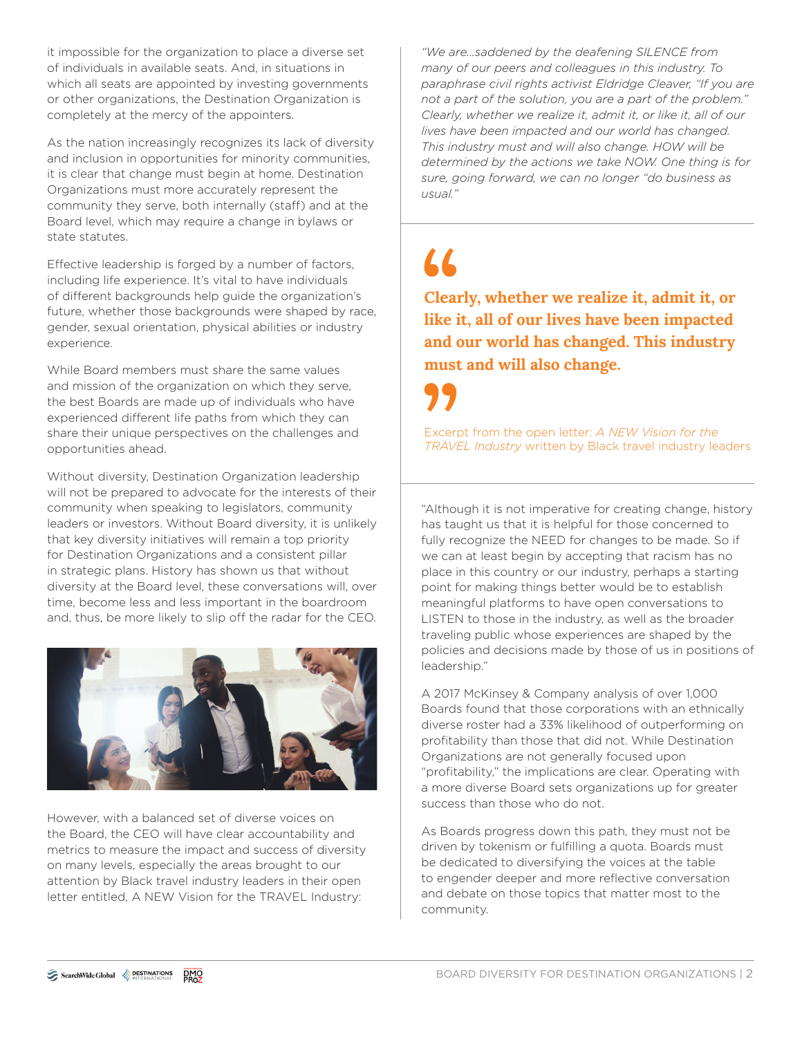it impossible for the organization to place a diverse set of individuals in available seats. And, in situations in which all seats are appointed by investing governments or other organizations, the Destination Organization is completely at the mercy of the appointers.

As the nation increasingly recognizes its lack of diversity and inclusion in opportunities for minority communities, it is clear that change must begin at home. Destination Organizations must more accurately represent the community they serve, both internally (staff) and at the Board level, which may require a change in bylaws or state statutes.

Effective leadership is forged by a number of factors, including life experience. It's vital to have individuals of different backgrounds help guide the organization's future, whether those backgrounds were shaped by race, gender, sexual orientation, physical abilities or industry experience.

While Board members must share the same values and mission of the organization on which they serve, the best Boards are made up of individuals who have experienced different life paths from which they can share their unique perspectives on the challenges and opportunities ahead.

Without diversity, Destination Organization leadership will not be prepared to advocate for the interests of their community when speaking to legislators, community leaders or investors. Without Board diversity, it is unlikely that key diversity initiatives will remain a top priority for Destination Organizations and a consistent pillar in strategic plans. History has shown us that without diversity at the Board level, these conversations will, over time, become less and less important in the boardroom and, thus, be more likely to slip off the radar for the CEO.



However, with a balanced set of diverse voices on the Board, the CEO will have clear accountability and metrics to measure the impact and success of diversity on many levels, especially the areas brought to our attention by Black travel industry leaders in their open letter entitled, A NEW Vision for the TRAVEL Industry:

*"We are…saddened by the deafening SILENCE from many of our peers and colleagues in this industry. To paraphrase civil rights activist Eldridge Cleaver, "If you are not a part of the solution, you are a part of the problem." Clearly, whether we realize it, admit it, or like it, all of our lives have been impacted and our world has changed. This industry must and will also change. HOW will be determined by the actions we take NOW. One thing is for sure, going forward, we can no longer "do business as usual."* 

# $\overline{\mathbf{L}}$

**Clearly, whether we realize it, admit it, or like it, all of our lives have been impacted and our world has changed. This industry must and will also change.**

Excerpt from the open letter: *A NEW Vision for the TRAVEL Industry* written by Black travel industry leaders

"Although it is not imperative for creating change, history has taught us that it is helpful for those concerned to fully recognize the NEED for changes to be made. So if we can at least begin by accepting that racism has no place in this country or our industry, perhaps a starting point for making things better would be to establish meaningful platforms to have open conversations to LISTEN to those in the industry, as well as the broader traveling public whose experiences are shaped by the policies and decisions made by those of us in positions of leadership."

A 2017 McKinsey & Company analysis of over 1,000 Boards found that those corporations with an ethnically diverse roster had a 33% likelihood of outperforming on profitability than those that did not. While Destination Organizations are not generally focused upon "profitability," the implications are clear. Operating with a more diverse Board sets organizations up for greater success than those who do not.

As Boards progress down this path, they must not be driven by tokenism or fulfilling a quota. Boards must be dedicated to diversifying the voices at the table to engender deeper and more reflective conversation and debate on those topics that matter most to the community.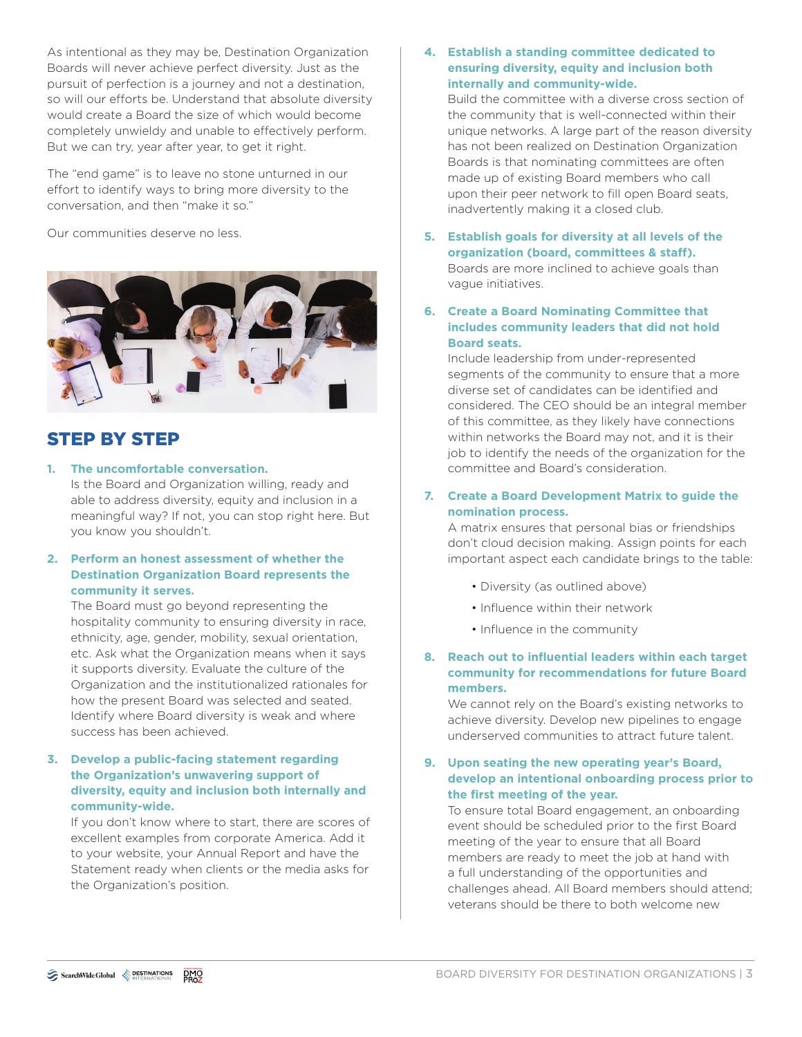As intentional as they may be, Destination Organization Boards will never achieve perfect diversity. Just as the pursuit of perfection is a journey and not a destination, so will our efforts be. Understand that absolute diversity would create a Board the size of which would become completely unwieldy and unable to effectively perform. But we can try, year after year, to get it right.

The "end game" is to leave no stone unturned in our effort to identify ways to bring more diversity to the conversation, and then "make it so."

Our communities deserve no less.



## STEP BY STEP

**1. The uncomfortable conversation.** Is the Board and Organization willing, ready and able to address diversity, equity and inclusion in a meaningful way? If not, you can stop right here. But you know you shouldn't.

### **2. Perform an honest assessment of whether the Destination Organization Board represents the community it serves.**

The Board must go beyond representing the hospitality community to ensuring diversity in race, ethnicity, age, gender, mobility, sexual orientation, etc. Ask what the Organization means when it says it supports diversity. Evaluate the culture of the Organization and the institutionalized rationales for how the present Board was selected and seated. Identify where Board diversity is weak and where success has been achieved.

#### **3. Develop a public-facing statement regarding the Organization's unwavering support of diversity, equity and inclusion both internally and community-wide.**

If you don't know where to start, there are scores of excellent examples from corporate America. Add it to your website, your Annual Report and have the Statement ready when clients or the media asks for the Organization's position.

**4. Establish a standing committee dedicated to ensuring diversity, equity and inclusion both internally and community-wide.**

Build the committee with a diverse cross section of the community that is well-connected within their unique networks. A large part of the reason diversity has not been realized on Destination Organization Boards is that nominating committees are often made up of existing Board members who call upon their peer network to fill open Board seats, inadvertently making it a closed club.

- **5. Establish goals for diversity at all levels of the organization (board, committees & staff).** Boards are more inclined to achieve goals than vague initiatives.
- **6. Create a Board Nominating Committee that includes community leaders that did not hold Board seats.**

Include leadership from under-represented segments of the community to ensure that a more diverse set of candidates can be identified and considered. The CEO should be an integral member of this committee, as they likely have connections within networks the Board may not, and it is their job to identify the needs of the organization for the committee and Board's consideration.

### **7. Create a Board Development Matrix to guide the nomination process.**

A matrix ensures that personal bias or friendships don't cloud decision making. Assign points for each important aspect each candidate brings to the table:

- Diversity (as outlined above)
- Influence within their network
- Influence in the community
- **8. Reach out to influential leaders within each target community for recommendations for future Board members.**

We cannot rely on the Board's existing networks to achieve diversity. Develop new pipelines to engage underserved communities to attract future talent.

#### **9. Upon seating the new operating year's Board, develop an intentional onboarding process prior to the first meeting of the year.**

To ensure total Board engagement, an onboarding event should be scheduled prior to the first Board meeting of the year to ensure that all Board members are ready to meet the job at hand with a full understanding of the opportunities and challenges ahead. All Board members should attend; veterans should be there to both welcome new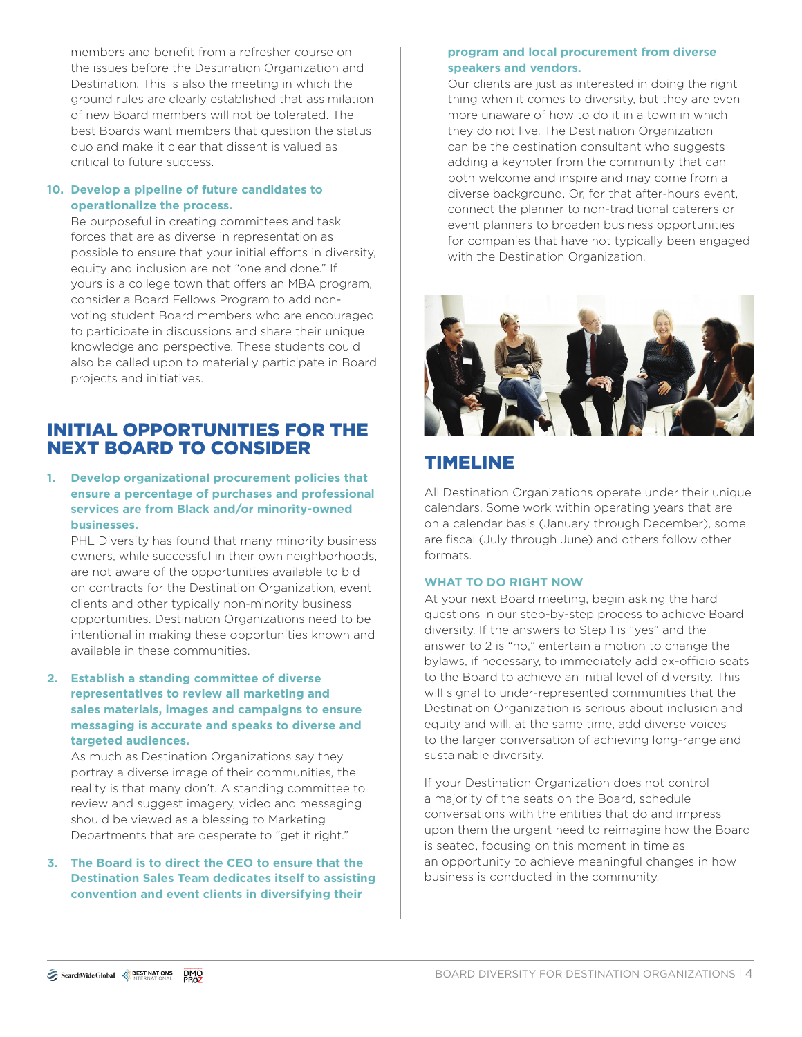members and benefit from a refresher course on the issues before the Destination Organization and Destination. This is also the meeting in which the ground rules are clearly established that assimilation of new Board members will not be tolerated. The best Boards want members that question the status quo and make it clear that dissent is valued as critical to future success.

### **10. Develop a pipeline of future candidates to operationalize the process.**

Be purposeful in creating committees and task forces that are as diverse in representation as possible to ensure that your initial efforts in diversity, equity and inclusion are not "one and done." If yours is a college town that offers an MBA program, consider a Board Fellows Program to add nonvoting student Board members who are encouraged to participate in discussions and share their unique knowledge and perspective. These students could also be called upon to materially participate in Board projects and initiatives.

## INITIAL OPPORTUNITIES FOR THE NEXT BOARD TO CONSIDER

#### **1. Develop organizational procurement policies that ensure a percentage of purchases and professional services are from Black and/or minority-owned businesses.**

PHL Diversity has found that many minority business owners, while successful in their own neighborhoods, are not aware of the opportunities available to bid on contracts for the Destination Organization, event clients and other typically non-minority business opportunities. Destination Organizations need to be intentional in making these opportunities known and available in these communities.

#### **2. Establish a standing committee of diverse representatives to review all marketing and sales materials, images and campaigns to ensure messaging is accurate and speaks to diverse and targeted audiences.**

As much as Destination Organizations say they portray a diverse image of their communities, the reality is that many don't. A standing committee to review and suggest imagery, video and messaging should be viewed as a blessing to Marketing Departments that are desperate to "get it right."

#### **3. The Board is to direct the CEO to ensure that the Destination Sales Team dedicates itself to assisting convention and event clients in diversifying their**

#### **program and local procurement from diverse speakers and vendors.**

Our clients are just as interested in doing the right thing when it comes to diversity, but they are even more unaware of how to do it in a town in which they do not live. The Destination Organization can be the destination consultant who suggests adding a keynoter from the community that can both welcome and inspire and may come from a diverse background. Or, for that after-hours event, connect the planner to non-traditional caterers or event planners to broaden business opportunities for companies that have not typically been engaged with the Destination Organization.



## TIMELINE

All Destination Organizations operate under their unique calendars. Some work within operating years that are on a calendar basis (January through December), some are fiscal (July through June) and others follow other formats.

#### **WHAT TO DO RIGHT NOW**

At your next Board meeting, begin asking the hard questions in our step-by-step process to achieve Board diversity. If the answers to Step 1 is "yes" and the answer to 2 is "no," entertain a motion to change the bylaws, if necessary, to immediately add ex-officio seats to the Board to achieve an initial level of diversity. This will signal to under-represented communities that the Destination Organization is serious about inclusion and equity and will, at the same time, add diverse voices to the larger conversation of achieving long-range and sustainable diversity.

If your Destination Organization does not control a majority of the seats on the Board, schedule conversations with the entities that do and impress upon them the urgent need to reimagine how the Board is seated, focusing on this moment in time as an opportunity to achieve meaningful changes in how business is conducted in the community.